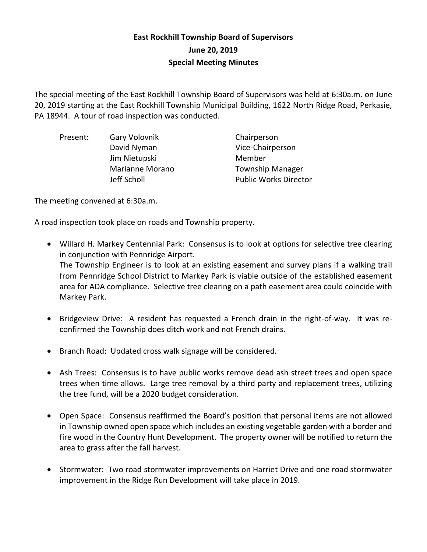## **East Rockhill Township Board of Supervisors June 20, 2019 Special Meeting Minutes**

The special meeting of the East Rockhill Township Board of Supervisors was held at 6:30a.m. on June 20, 2019 starting at the East Rockhill Township Municipal Building, 1622 North Ridge Road, Perkasie, PA 18944. A tour of road inspection was conducted.

| Present: | Gary Volovnik   | Chairperson                  |
|----------|-----------------|------------------------------|
|          | David Nyman     | Vice-Chairperson             |
|          | Jim Nietupski   | Member                       |
|          | Marianne Morano | <b>Township Manager</b>      |
|          | Jeff Scholl     | <b>Public Works Director</b> |

The meeting convened at 6:30a.m.

A road inspection took place on roads and Township property.

- Willard H. Markey Centennial Park: Consensus is to look at options for selective tree clearing in conjunction with Pennridge Airport. The Township Engineer is to look at an existing easement and survey plans if a walking trail from Pennridge School District to Markey Park is viable outside of the established easement area for ADA compliance. Selective tree clearing on a path easement area could coincide with Markey Park.
- Bridgeview Drive: A resident has requested a French drain in the right-of-way. It was reconfirmed the Township does ditch work and not French drains.
- Branch Road: Updated cross walk signage will be considered.
- Ash Trees: Consensus is to have public works remove dead ash street trees and open space trees when time allows. Large tree removal by a third party and replacement trees, utilizing the tree fund, will be a 2020 budget consideration.
- Open Space: Consensus reaffirmed the Board's position that personal items are not allowed in Township owned open space which includes an existing vegetable garden with a border and fire wood in the Country Hunt Development. The property owner will be notified to return the area to grass after the fall harvest.
- Stormwater: Two road stormwater improvements on Harriet Drive and one road stormwater improvement in the Ridge Run Development will take place in 2019.